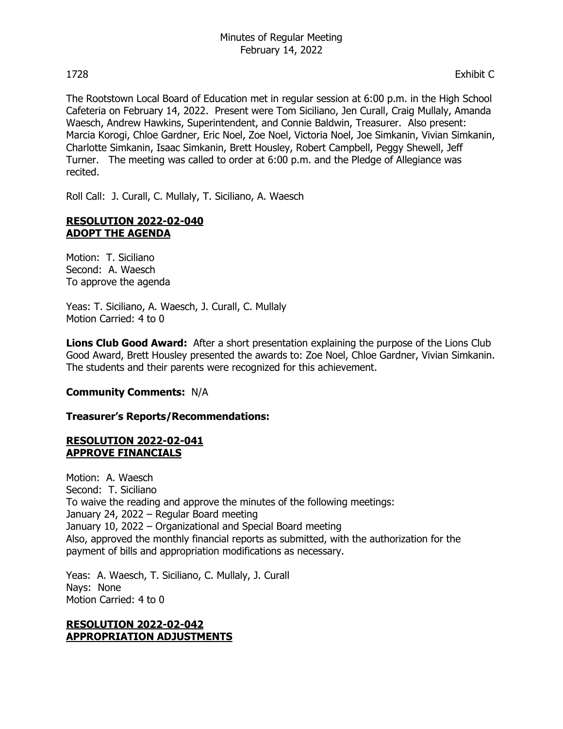The Rootstown Local Board of Education met in regular session at 6:00 p.m. in the High School Cafeteria on February 14, 2022. Present were Tom Siciliano, Jen Curall, Craig Mullaly, Amanda Waesch, Andrew Hawkins, Superintendent, and Connie Baldwin, Treasurer. Also present: Marcia Korogi, Chloe Gardner, Eric Noel, Zoe Noel, Victoria Noel, Joe Simkanin, Vivian Simkanin, Charlotte Simkanin, Isaac Simkanin, Brett Housley, Robert Campbell, Peggy Shewell, Jeff Turner. The meeting was called to order at 6:00 p.m. and the Pledge of Allegiance was recited.

Roll Call: J. Curall, C. Mullaly, T. Siciliano, A. Waesch

# **RESOLUTION 2022-02-040 ADOPT THE AGENDA**

Motion: T. Siciliano Second: A. Waesch To approve the agenda

Yeas: T. Siciliano, A. Waesch, J. Curall, C. Mullaly Motion Carried: 4 to 0

**Lions Club Good Award:** After a short presentation explaining the purpose of the Lions Club Good Award, Brett Housley presented the awards to: Zoe Noel, Chloe Gardner, Vivian Simkanin. The students and their parents were recognized for this achievement.

# **Community Comments:** N/A

### **Treasurer's Reports/Recommendations:**

### **RESOLUTION 2022-02-041 APPROVE FINANCIALS**

Motion: A. Waesch Second: T. Siciliano To waive the reading and approve the minutes of the following meetings: January 24, 2022 – Regular Board meeting January 10, 2022 – Organizational and Special Board meeting Also, approved the monthly financial reports as submitted, with the authorization for the payment of bills and appropriation modifications as necessary.

Yeas: A. Waesch, T. Siciliano, C. Mullaly, J. Curall Nays: None Motion Carried: 4 to 0

### **RESOLUTION 2022-02-042 APPROPRIATION ADJUSTMENTS**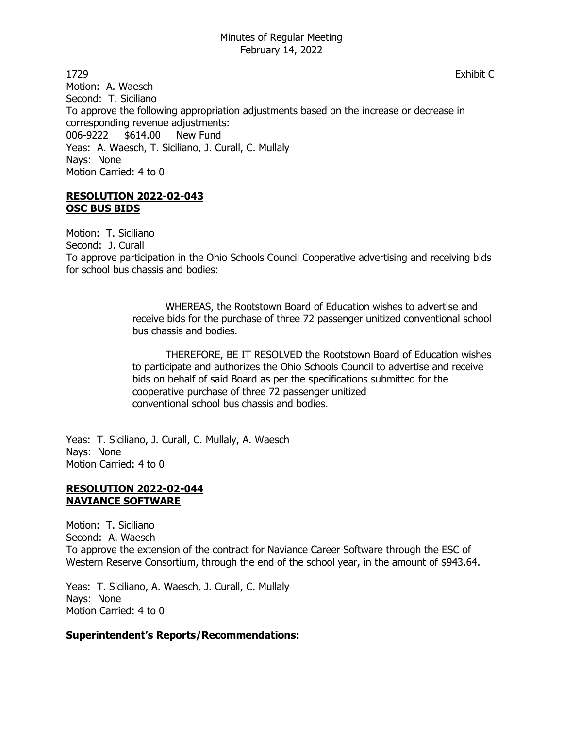1729 Exhibit C Motion: A. Waesch Second: T. Siciliano To approve the following appropriation adjustments based on the increase or decrease in corresponding revenue adjustments: 006-9222 \$614.00 New Fund Yeas: A. Waesch, T. Siciliano, J. Curall, C. Mullaly Nays: None Motion Carried: 4 to 0

#### **RESOLUTION 2022-02-043 OSC BUS BIDS**

Motion: T. Siciliano Second: J. Curall To approve participation in the Ohio Schools Council Cooperative advertising and receiving bids for school bus chassis and bodies:

> WHEREAS, the Rootstown Board of Education wishes to advertise and receive bids for the purchase of three 72 passenger unitized conventional school bus chassis and bodies.

> THEREFORE, BE IT RESOLVED the Rootstown Board of Education wishes to participate and authorizes the Ohio Schools Council to advertise and receive bids on behalf of said Board as per the specifications submitted for the cooperative purchase of three 72 passenger unitized conventional school bus chassis and bodies.

Yeas: T. Siciliano, J. Curall, C. Mullaly, A. Waesch Nays: None Motion Carried: 4 to 0

## **RESOLUTION 2022-02-044 NAVIANCE SOFTWARE**

Motion: T. Siciliano Second: A. Waesch To approve the extension of the contract for Naviance Career Software through the ESC of Western Reserve Consortium, through the end of the school year, in the amount of \$943.64.

Yeas: T. Siciliano, A. Waesch, J. Curall, C. Mullaly Nays: None Motion Carried: 4 to 0

# **Superintendent's Reports/Recommendations:**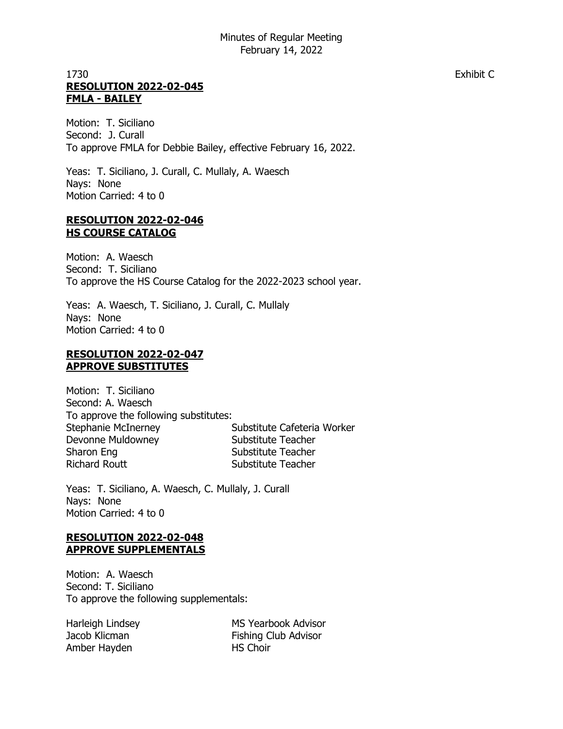# 1730 Exhibit C **RESOLUTION 2022-02-045 FMLA - BAILEY**

Motion: T. Siciliano Second: J. Curall To approve FMLA for Debbie Bailey, effective February 16, 2022.

Yeas: T. Siciliano, J. Curall, C. Mullaly, A. Waesch Nays: None Motion Carried: 4 to 0

#### **RESOLUTION 2022-02-046 HS COURSE CATALOG**

Motion: A. Waesch Second: T. Siciliano To approve the HS Course Catalog for the 2022-2023 school year.

Yeas: A. Waesch, T. Siciliano, J. Curall, C. Mullaly Nays: None Motion Carried: 4 to 0

## **RESOLUTION 2022-02-047 APPROVE SUBSTITUTES**

Motion: T. Siciliano Second: A. Waesch To approve the following substitutes: Stephanie McInerney **Substitute Cafeteria Worker** Devonne Muldowney **Substitute Teacher** Sharon Eng Substitute Teacher Richard Routt **Substitute Teacher** 

Yeas: T. Siciliano, A. Waesch, C. Mullaly, J. Curall Nays: None Motion Carried: 4 to 0

# **RESOLUTION 2022-02-048 APPROVE SUPPLEMENTALS**

Motion: A. Waesch Second: T. Siciliano To approve the following supplementals:

Amber Hayden HS Choir

Harleigh Lindsey MS Yearbook Advisor Jacob Klicman **Fishing Club Advisor**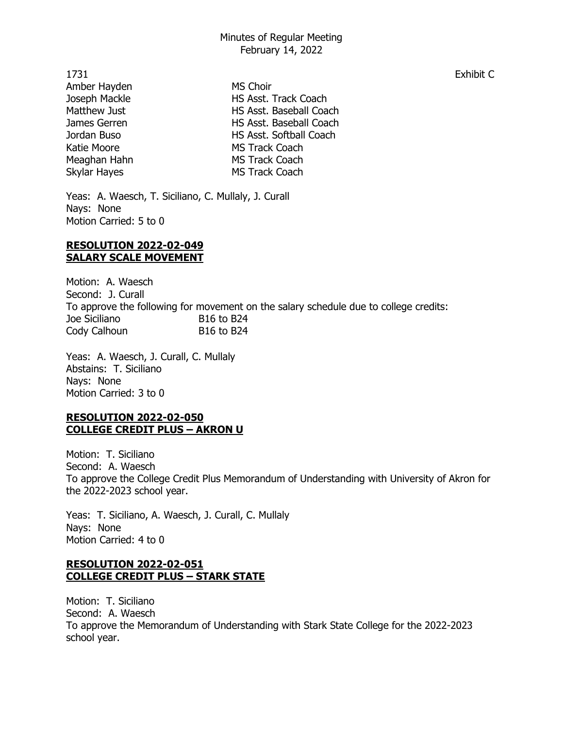1731 Exhibit C Amber Hayden MS Choir Joseph Mackle HS Asst. Track Coach Matthew Just **HS Asst. Baseball Coach** James Gerren **HS Asst. Baseball Coach** Jordan Buso HS Asst. Softball Coach Katie Moore **MS Track Coach** Meaghan Hahn MS Track Coach Skylar Hayes MS Track Coach

Yeas: A. Waesch, T. Siciliano, C. Mullaly, J. Curall Nays: None Motion Carried: 5 to 0

#### **RESOLUTION 2022-02-049 SALARY SCALE MOVEMENT**

Motion: A. Waesch Second: J. Curall To approve the following for movement on the salary schedule due to college credits: Joe Siciliano B16 to B24 Cody Calhoun B16 to B24

Yeas: A. Waesch, J. Curall, C. Mullaly Abstains: T. Siciliano Nays: None Motion Carried: 3 to 0

## **RESOLUTION 2022-02-050 COLLEGE CREDIT PLUS – AKRON U**

Motion: T. Siciliano Second: A. Waesch To approve the College Credit Plus Memorandum of Understanding with University of Akron for the 2022-2023 school year.

Yeas: T. Siciliano, A. Waesch, J. Curall, C. Mullaly Nays: None Motion Carried: 4 to 0

## **RESOLUTION 2022-02-051 COLLEGE CREDIT PLUS – STARK STATE**

Motion: T. Siciliano Second: A. Waesch To approve the Memorandum of Understanding with Stark State College for the 2022-2023 school year.